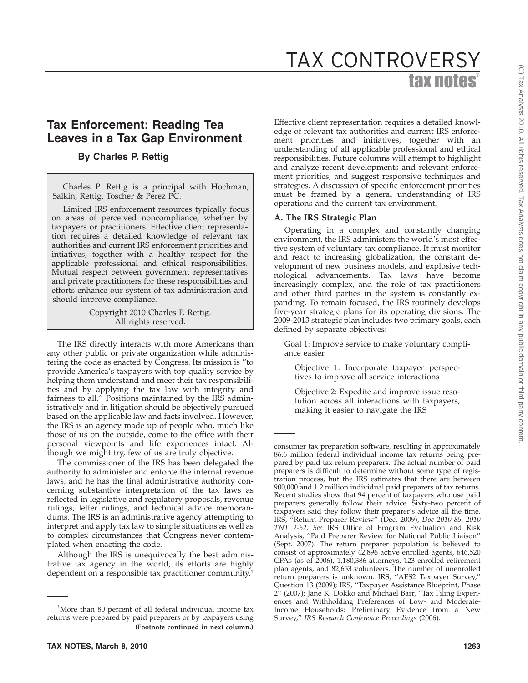# tax notes® TAX CONTROVERSY

# **Tax Enforcement: Reading Tea Leaves in a Tax Gap Environment**

# **By Charles P. Rettig**

Charles P. Rettig is a principal with Hochman, Salkin, Rettig, Toscher & Perez PC.

Limited IRS enforcement resources typically focus on areas of perceived noncompliance, whether by taxpayers or practitioners. Effective client representation requires a detailed knowledge of relevant tax authorities and current IRS enforcement priorities and intiatives, together with a healthy respect for the applicable professional and ethical responsibilities. Mutual respect between government representatives and private practitioners for these responsibilities and efforts enhance our system of tax administration and should improve compliance.

> Copyright 2010 Charles P. Rettig. All rights reserved.

The IRS directly interacts with more Americans than any other public or private organization while administering the code as enacted by Congress. Its mission is ''to provide America's taxpayers with top quality service by helping them understand and meet their tax responsibilities and by applying the tax law with integrity and fairness to all.'' Positions maintained by the IRS administratively and in litigation should be objectively pursued based on the applicable law and facts involved. However, the IRS is an agency made up of people who, much like those of us on the outside, come to the office with their personal viewpoints and life experiences intact. Although we might try, few of us are truly objective.

The commissioner of the IRS has been delegated the authority to administer and enforce the internal revenue laws, and he has the final administrative authority concerning substantive interpretation of the tax laws as reflected in legislative and regulatory proposals, revenue rulings, letter rulings, and technical advice memorandums. The IRS is an administrative agency attempting to interpret and apply tax law to simple situations as well as to complex circumstances that Congress never contemplated when enacting the code.

Although the IRS is unequivocally the best administrative tax agency in the world, its efforts are highly dependent on a responsible tax practitioner community.<sup>1</sup>

Effective client representation requires a detailed knowledge of relevant tax authorities and current IRS enforcement priorities and initiatives, together with an understanding of all applicable professional and ethical responsibilities. Future columns will attempt to highlight and analyze recent developments and relevant enforcement priorities, and suggest responsive techniques and strategies. A discussion of specific enforcement priorities must be framed by a general understanding of IRS operations and the current tax environment.

#### **A. The IRS Strategic Plan**

Operating in a complex and constantly changing environment, the IRS administers the world's most effective system of voluntary tax compliance. It must monitor and react to increasing globalization, the constant development of new business models, and explosive technological advancements. Tax laws have become increasingly complex, and the role of tax practitioners and other third parties in the system is constantly expanding. To remain focused, the IRS routinely develops five-year strategic plans for its operating divisions. The 2009-2013 strategic plan includes two primary goals, each defined by separate objectives:

Goal 1: Improve service to make voluntary compliance easier

Objective 1: Incorporate taxpayer perspectives to improve all service interactions

Objective 2: Expedite and improve issue resolution across all interactions with taxpayers, making it easier to navigate the IRS

<sup>&</sup>lt;sup>1</sup>More than 80 percent of all federal individual income tax returns were prepared by paid preparers or by taxpayers using **(Footnote continued in next column.)**

consumer tax preparation software, resulting in approximately 86.6 million federal individual income tax returns being prepared by paid tax return preparers. The actual number of paid preparers is difficult to determine without some type of registration process, but the IRS estimates that there are between 900,000 and 1.2 million individual paid preparers of tax returns. Recent studies show that 94 percent of taxpayers who use paid preparers generally follow their advice. Sixty-two percent of taxpayers said they follow their preparer's advice all the time. IRS, ''Return Preparer Review'' (Dec. 2009), *Doc 2010-85*, *2010 TNT 2-62*. *See* IRS Office of Program Evaluation and Risk Analysis, ''Paid Preparer Review for National Public Liaison'' (Sept. 2007). The return preparer population is believed to consist of approximately 42,896 active enrolled agents, 646,520 CPAs (as of 2006), 1,180,386 attorneys, 123 enrolled retirement plan agents, and 82,653 volunteers. The number of unenrolled return preparers is unknown. IRS, ''AES2 Taxpayer Survey,'' Question 13 (2009); IRS, ''Taxpayer Assistance Blueprint, Phase 2'' (2007); Jane K. Dokko and Michael Barr, ''Tax Filing Experiences and Withholding Preferences of Low- and Moderate-Income Households: Preliminary Evidence from a New Survey,'' *IRS Research Conference Proceedings* (2006).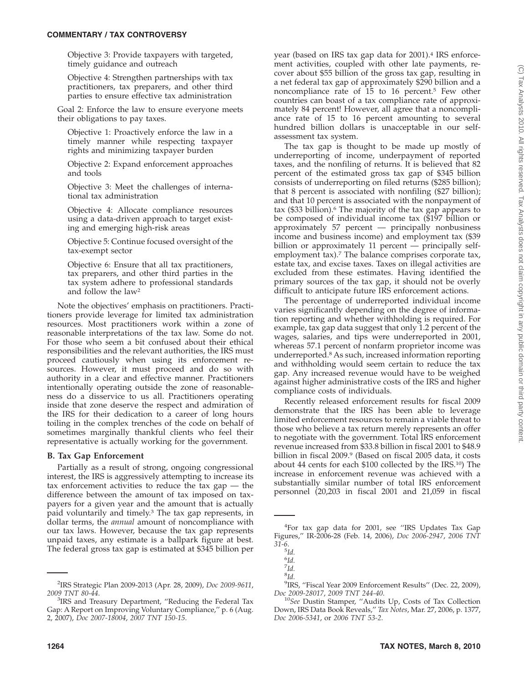Objective 3: Provide taxpayers with targeted, timely guidance and outreach

Objective 4: Strengthen partnerships with tax practitioners, tax preparers, and other third parties to ensure effective tax administration

Goal 2: Enforce the law to ensure everyone meets their obligations to pay taxes.

Objective 1: Proactively enforce the law in a timely manner while respecting taxpayer rights and minimizing taxpayer burden

Objective 2: Expand enforcement approaches and tools

Objective 3: Meet the challenges of international tax administration

Objective 4: Allocate compliance resources using a data-driven approach to target existing and emerging high-risk areas

Objective 5: Continue focused oversight of the tax-exempt sector

Objective 6: Ensure that all tax practitioners, tax preparers, and other third parties in the tax system adhere to professional standards and follow the law2

Note the objectives' emphasis on practitioners. Practitioners provide leverage for limited tax administration resources. Most practitioners work within a zone of reasonable interpretations of the tax law. Some do not. For those who seem a bit confused about their ethical responsibilities and the relevant authorities, the IRS must proceed cautiously when using its enforcement resources. However, it must proceed and do so with authority in a clear and effective manner. Practitioners intentionally operating outside the zone of reasonableness do a disservice to us all. Practitioners operating inside that zone deserve the respect and admiration of the IRS for their dedication to a career of long hours toiling in the complex trenches of the code on behalf of sometimes marginally thankful clients who feel their representative is actually working for the government.

#### **B. Tax Gap Enforcement**

Partially as a result of strong, ongoing congressional interest, the IRS is aggressively attempting to increase its tax enforcement activities to reduce the tax gap — the difference between the amount of tax imposed on taxpayers for a given year and the amount that is actually paid voluntarily and timely.3 The tax gap represents, in dollar terms, the *annual* amount of noncompliance with our tax laws. However, because the tax gap represents unpaid taxes, any estimate is a ballpark figure at best. The federal gross tax gap is estimated at \$345 billion per

year (based on IRS tax gap data for 2001).<sup>4</sup> IRS enforcement activities, coupled with other late payments, recover about \$55 billion of the gross tax gap, resulting in a net federal tax gap of approximately \$290 billion and a noncompliance rate of 15 to 16 percent.<sup>5</sup> Few other countries can boast of a tax compliance rate of approximately 84 percent! However, all agree that a noncompliance rate of 15 to 16 percent amounting to several hundred billion dollars is unacceptable in our selfassessment tax system.

The tax gap is thought to be made up mostly of underreporting of income, underpayment of reported taxes, and the nonfiling of returns. It is believed that 82 percent of the estimated gross tax gap of \$345 billion consists of underreporting on filed returns (\$285 billion); that 8 percent is associated with nonfiling (\$27 billion); and that 10 percent is associated with the nonpayment of tax (\$33 billion).6 The majority of the tax gap appears to be composed of individual income tax (\$197 billion or approximately 57 percent — principally nonbusiness income and business income) and employment tax (\$39 billion or approximately 11 percent — principally selfemployment tax).<sup>7</sup> The balance comprises corporate tax, estate tax, and excise taxes. Taxes on illegal activities are excluded from these estimates. Having identified the primary sources of the tax gap, it should not be overly difficult to anticipate future IRS enforcement actions.

The percentage of underreported individual income varies significantly depending on the degree of information reporting and whether withholding is required. For example, tax gap data suggest that only 1.2 percent of the wages, salaries, and tips were underreported in 2001, whereas 57.1 percent of nonfarm proprietor income was underreported.8 As such, increased information reporting and withholding would seem certain to reduce the tax gap. Any increased revenue would have to be weighed against higher administrative costs of the IRS and higher compliance costs of individuals.

Recently released enforcement results for fiscal 2009 demonstrate that the IRS has been able to leverage limited enforcement resources to remain a viable threat to those who believe a tax return merely represents an offer to negotiate with the government. Total IRS enforcement revenue increased from \$33.8 billion in fiscal 2001 to \$48.9 billion in fiscal 2009.<sup>9</sup> (Based on fiscal 2005 data, it costs about 44 cents for each \$100 collected by the IRS.10) The increase in enforcement revenue was achieved with a substantially similar number of total IRS enforcement personnel (20,203 in fiscal 2001 and 21,059 in fiscal

<sup>9</sup>IRS, "Fiscal Year 2009 Enforcement Results" (Dec. 22, 2009),

<sup>2</sup> IRS Strategic Plan 2009-2013 (Apr. 28, 2009), *Doc 2009-9611*, *2009 TNT 80-44*. <sup>3</sup>

<sup>&</sup>lt;sup>3</sup>IRS and Treasury Department, "Reducing the Federal Tax Gap: A Report on Improving Voluntary Compliance,'' p. 6 (Aug. 2, 2007), *Doc 2007-18004*, *2007 TNT 150-15*.

<sup>4</sup> For tax gap data for 2001, see ''IRS Updates Tax Gap Figures,'' IR-2006-28 (Feb. 14, 2006), *Doc 2006-2947*, *2006 TNT 31-6*.

<sup>5</sup> *Id.*

<sup>6</sup> *Id.*

<sup>7</sup> *Id.*

<sup>8</sup> *Id.*

*Doc 2009-28017*, *2009 TNT 244-40*. <sup>10</sup>*See* Dustin Stamper, ''Audits Up, Costs of Tax Collection Down, IRS Data Book Reveals,'' *Tax Notes*, Mar. 27, 2006, p. 1377, *Doc 2006-5341*, or *2006 TNT 53-2*.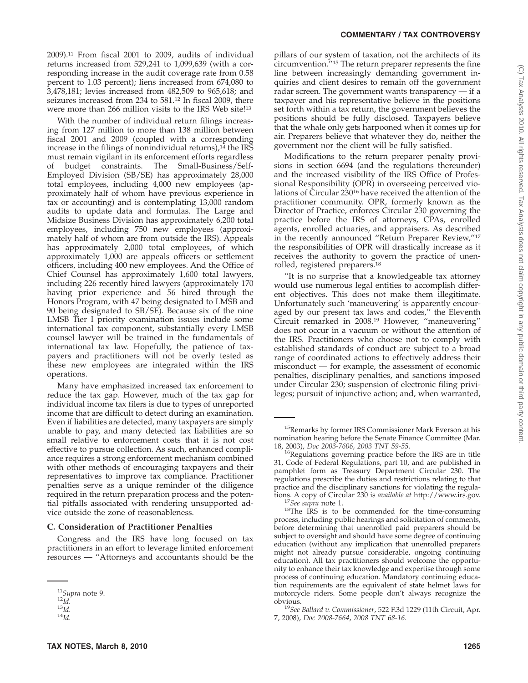#### **COMMENTARY / TAX CONTROVERSY**

2009).11 From fiscal 2001 to 2009, audits of individual returns increased from 529,241 to 1,099,639 (with a corresponding increase in the audit coverage rate from 0.58 percent to 1.03 percent); liens increased from 674,080 to 3,478,181; levies increased from 482,509 to 965,618; and seizures increased from 234 to 581.12 In fiscal 2009, there were more than 266 million visits to the IRS Web site!<sup>13</sup>

With the number of individual return filings increasing from 127 million to more than 138 million between fiscal 2001 and 2009 (coupled with a corresponding increase in the filings of nonindividual returns),<sup>14</sup> the IRS must remain vigilant in its enforcement efforts regardless of budget constraints. The Small-Business/Self-Employed Division (SB/SE) has approximately 28,000 total employees, including 4,000 new employees (approximately half of whom have previous experience in tax or accounting) and is contemplating 13,000 random audits to update data and formulas. The Large and Midsize Business Division has approximately 6,200 total employees, including 750 new employees (approximately half of whom are from outside the IRS). Appeals has approximately 2,000 total employees, of which approximately 1,000 are appeals officers or settlement officers, including 400 new employees. And the Office of Chief Counsel has approximately 1,600 total lawyers, including 226 recently hired lawyers (approximately 170 having prior experience and 56 hired through the Honors Program, with 47 being designated to LMSB and 90 being designated to SB/SE). Because six of the nine LMSB Tier I priority examination issues include some international tax component, substantially every LMSB counsel lawyer will be trained in the fundamentals of international tax law. Hopefully, the patience of taxpayers and practitioners will not be overly tested as these new employees are integrated within the IRS operations.

Many have emphasized increased tax enforcement to reduce the tax gap. However, much of the tax gap for individual income tax filers is due to types of unreported income that are difficult to detect during an examination. Even if liabilities are detected, many taxpayers are simply unable to pay, and many detected tax liabilities are so small relative to enforcement costs that it is not cost effective to pursue collection. As such, enhanced compliance requires a strong enforcement mechanism combined with other methods of encouraging taxpayers and their representatives to improve tax compliance. Practitioner penalties serve as a unique reminder of the diligence required in the return preparation process and the potential pitfalls associated with rendering unsupported advice outside the zone of reasonableness.

#### **C. Consideration of Practitioner Penalties**

Congress and the IRS have long focused on tax practitioners in an effort to leverage limited enforcement resources — ''Attorneys and accountants should be the pillars of our system of taxation, not the architects of its circumvention.''15 The return preparer represents the fine line between increasingly demanding government inquiries and client desires to remain off the government radar screen. The government wants transparency  $-$  if a taxpayer and his representative believe in the positions set forth within a tax return, the government believes the positions should be fully disclosed. Taxpayers believe that the whale only gets harpooned when it comes up for air. Preparers believe that whatever they do, neither the government nor the client will be fully satisfied.

Modifications to the return preparer penalty provisions in section 6694 (and the regulations thereunder) and the increased visibility of the IRS Office of Professional Responsibility (OPR) in overseeing perceived violations of Circular 23016 have received the attention of the practitioner community. OPR, formerly known as the Director of Practice, enforces Circular 230 governing the practice before the IRS of attorneys, CPAs, enrolled agents, enrolled actuaries, and appraisers. As described in the recently announced ''Return Preparer Review,''17 the responsibilities of OPR will drastically increase as it receives the authority to govern the practice of unenrolled, registered preparers.18

''It is no surprise that a knowledgeable tax attorney would use numerous legal entities to accomplish different objectives. This does not make them illegitimate. Unfortunately such 'maneuvering' is apparently encouraged by our present tax laws and codes,'' the Eleventh Circuit remarked in 2008.19 However, ''maneuvering'' does not occur in a vacuum or without the attention of the IRS. Practitioners who choose not to comply with established standards of conduct are subject to a broad range of coordinated actions to effectively address their misconduct — for example, the assessment of economic penalties, disciplinary penalties, and sanctions imposed under Circular 230; suspension of electronic filing privileges; pursuit of injunctive action; and, when warranted,

<sup>11</sup>*Supra* note 9. <sup>12</sup>*Id.* <sup>13</sup>*Id.* <sup>14</sup>*Id.*

<sup>15</sup>Remarks by former IRS Commissioner Mark Everson at his nomination hearing before the Senate Finance Committee (Mar. 18, 2003), *Doc 2003-7606*, 2003 TNT 59-55.

<sup>&</sup>lt;sup>16</sup>Regulations governing practice before the IRS are in title 31, Code of Federal Regulations, part 10, and are published in pamphlet form as Treasury Department Circular 230. The regulations prescribe the duties and restrictions relating to that practice and the disciplinary sanctions for violating the regulations. A copy of Circular 230 is *available at* http://www.irs.gov. <sup>17</sup>*See supra* note 1. 18The IRS is to be commended for the time-consuming

process, including public hearings and solicitation of comments, before determining that unenrolled paid preparers should be subject to oversight and should have some degree of continuing education (without any implication that unenrolled preparers might not already pursue considerable, ongoing continuing education). All tax practitioners should welcome the opportunity to enhance their tax knowledge and expertise through some process of continuing education. Mandatory continuing education requirements are the equivalent of state helmet laws for motorcycle riders. Some people don't always recognize the

<sup>&</sup>lt;sup>19</sup>See Ballard v. Commissioner, 522 F.3d 1229 (11th Circuit, Apr. 7, 2008), *Doc 2008-7664*, *2008 TNT 68-16*.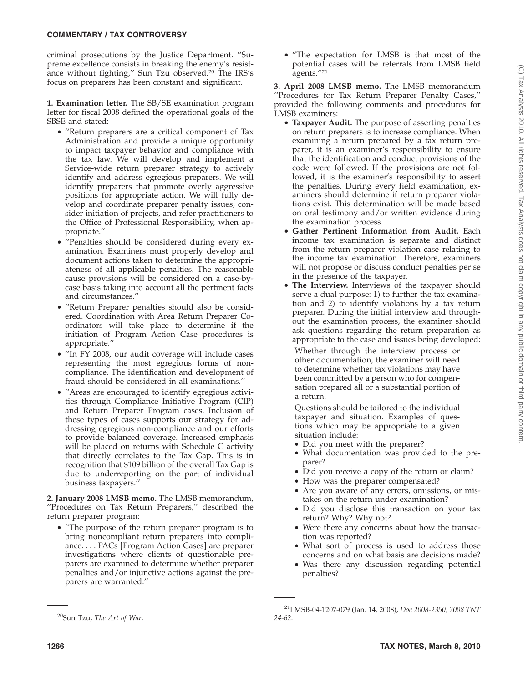#### **COMMENTARY / TAX CONTROVERSY**

criminal prosecutions by the Justice Department. ''Supreme excellence consists in breaking the enemy's resistance without fighting,'' Sun Tzu observed.20 The IRS's focus on preparers has been constant and significant.

**1. Examination letter.** The SB/SE examination program letter for fiscal 2008 defined the operational goals of the SBSE and stated:

- ''Return preparers are a critical component of Tax Administration and provide a unique opportunity to impact taxpayer behavior and compliance with the tax law. We will develop and implement a Service-wide return preparer strategy to actively identify and address egregious preparers. We will identify preparers that promote overly aggressive positions for appropriate action. We will fully develop and coordinate preparer penalty issues, consider initiation of projects, and refer practitioners to the Office of Professional Responsibility, when appropriate.''
- ''Penalties should be considered during every examination. Examiners must properly develop and document actions taken to determine the appropriateness of all applicable penalties. The reasonable cause provisions will be considered on a case-bycase basis taking into account all the pertinent facts and circumstances.''
- ''Return Preparer penalties should also be considered. Coordination with Area Return Preparer Coordinators will take place to determine if the initiation of Program Action Case procedures is appropriate.''
- ''In FY 2008, our audit coverage will include cases representing the most egregious forms of noncompliance. The identification and development of fraud should be considered in all examinations.''
- ''Areas are encouraged to identify egregious activities through Compliance Initiative Program (CIP) and Return Preparer Program cases. Inclusion of these types of cases supports our strategy for addressing egregious non-compliance and our efforts to provide balanced coverage. Increased emphasis will be placed on returns with Schedule C activity that directly correlates to the Tax Gap. This is in recognition that \$109 billion of the overall Tax Gap is due to underreporting on the part of individual business taxpayers.''

**2. January 2008 LMSB memo.** The LMSB memorandum, ''Procedures on Tax Return Preparers,'' described the return preparer program:

• ''The purpose of the return preparer program is to bring noncompliant return preparers into compliance. . . . PACs [Program Action Cases] are preparer investigations where clients of questionable preparers are examined to determine whether preparer penalties and/or injunctive actions against the preparers are warranted.''

• ''The expectation for LMSB is that most of the potential cases will be referrals from LMSB field agents.''21

**3. April 2008 LMSB memo.** The LMSB memorandum ''Procedures for Tax Return Preparer Penalty Cases,'' provided the following comments and procedures for LMSB examiners:

- **Taxpayer Audit.** The purpose of asserting penalties on return preparers is to increase compliance. When examining a return prepared by a tax return preparer, it is an examiner's responsibility to ensure that the identification and conduct provisions of the code were followed. If the provisions are not followed, it is the examiner's responsibility to assert the penalties. During every field examination, examiners should determine if return preparer violations exist. This determination will be made based on oral testimony and/or written evidence during the examination process.
- **Gather Pertinent Information from Audit.** Each income tax examination is separate and distinct from the return preparer violation case relating to the income tax examination. Therefore, examiners will not propose or discuss conduct penalties per se in the presence of the taxpayer.
- **The Interview.** Interviews of the taxpayer should serve a dual purpose: 1) to further the tax examination and 2) to identify violations by a tax return preparer. During the initial interview and throughout the examination process, the examiner should ask questions regarding the return preparation as appropriate to the case and issues being developed:

Whether through the interview process or other documentation, the examiner will need to determine whether tax violations may have been committed by a person who for compensation prepared all or a substantial portion of a return.

Questions should be tailored to the individual taxpayer and situation. Examples of questions which may be appropriate to a given situation include:

- Did you meet with the preparer?
- What documentation was provided to the preparer?
- Did you receive a copy of the return or claim?
- How was the preparer compensated?
- Are you aware of any errors, omissions, or mistakes on the return under examination?
- Did you disclose this transaction on your tax return? Why? Why not?
- Were there any concerns about how the transaction was reported?
- What sort of process is used to address those concerns and on what basis are decisions made?
- Was there any discussion regarding potential penalties?

<sup>21</sup>LMSB-04-1207-079 (Jan. 14, 2008), *Doc 2008-2350, 2008 TNT 24-62*.

<sup>20</sup>Sun Tzu, *The Art of War*.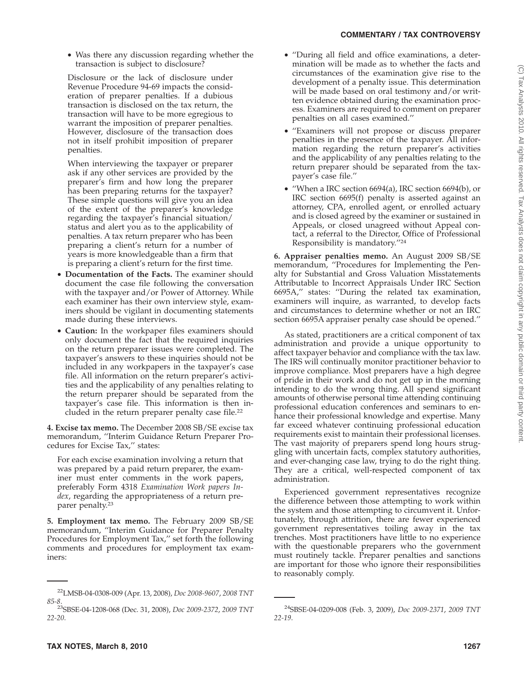• Was there any discussion regarding whether the transaction is subject to disclosure?

Disclosure or the lack of disclosure under Revenue Procedure 94-69 impacts the consideration of preparer penalties. If a dubious transaction is disclosed on the tax return, the transaction will have to be more egregious to warrant the imposition of preparer penalties. However, disclosure of the transaction does not in itself prohibit imposition of preparer penalties.

When interviewing the taxpayer or preparer ask if any other services are provided by the preparer's firm and how long the preparer has been preparing returns for the taxpayer? These simple questions will give you an idea of the extent of the preparer's knowledge regarding the taxpayer's financial situation/ status and alert you as to the applicability of penalties. A tax return preparer who has been preparing a client's return for a number of years is more knowledgeable than a firm that is preparing a client's return for the first time.

- **Documentation of the Facts.** The examiner should document the case file following the conversation with the taxpayer and/or Power of Attorney. While each examiner has their own interview style, examiners should be vigilant in documenting statements made during these interviews.
- **Caution:** In the workpaper files examiners should only document the fact that the required inquiries on the return preparer issues were completed. The taxpayer's answers to these inquiries should not be included in any workpapers in the taxpayer's case file. All information on the return preparer's activities and the applicability of any penalties relating to the return preparer should be separated from the taxpayer's case file. This information is then included in the return preparer penalty case file.22

**4. Excise tax memo.** The December 2008 SB/SE excise tax memorandum, ''Interim Guidance Return Preparer Procedures for Excise Tax,'' states:

For each excise examination involving a return that was prepared by a paid return preparer, the examiner must enter comments in the work papers, preferably Form 4318 *Examination Work papers Index*, regarding the appropriateness of a return preparer penalty.23

**5. Employment tax memo.** The February 2009 SB/SE memorandum, ''Interim Guidance for Preparer Penalty Procedures for Employment Tax,'' set forth the following comments and procedures for employment tax examiners:

- ''During all field and office examinations, a determination will be made as to whether the facts and circumstances of the examination give rise to the development of a penalty issue. This determination will be made based on oral testimony and/or written evidence obtained during the examination process. Examiners are required to comment on preparer penalties on all cases examined.''
- ''Examiners will not propose or discuss preparer penalties in the presence of the taxpayer. All information regarding the return preparer's activities and the applicability of any penalties relating to the return preparer should be separated from the taxpayer's case file.''
- ''When a IRC section 6694(a), IRC section 6694(b), or IRC section 6695(f) penalty is asserted against an attorney, CPA, enrolled agent, or enrolled actuary and is closed agreed by the examiner or sustained in Appeals, or closed unagreed without Appeal contact, a referral to the Director, Office of Professional Responsibility is mandatory.''24

**6. Appraiser penalties memo.** An August 2009 SB/SE memorandum, ''Procedures for Implementing the Penalty for Substantial and Gross Valuation Misstatements Attributable to Incorrect Appraisals Under IRC Section 6695A,'' states: ''During the related tax examination, examiners will inquire, as warranted, to develop facts and circumstances to determine whether or not an IRC section 6695A appraiser penalty case should be opened.''

As stated, practitioners are a critical component of tax administration and provide a unique opportunity to affect taxpayer behavior and compliance with the tax law. The IRS will continually monitor practitioner behavior to improve compliance. Most preparers have a high degree of pride in their work and do not get up in the morning intending to do the wrong thing. All spend significant amounts of otherwise personal time attending continuing professional education conferences and seminars to enhance their professional knowledge and expertise. Many far exceed whatever continuing professional education requirements exist to maintain their professional licenses. The vast majority of preparers spend long hours struggling with uncertain facts, complex statutory authorities, and ever-changing case law, trying to do the right thing. They are a critical, well-respected component of tax administration.

Experienced government representatives recognize the difference between those attempting to work within the system and those attempting to circumvent it. Unfortunately, through attrition, there are fewer experienced government representatives toiling away in the tax trenches. Most practitioners have little to no experience with the questionable preparers who the government must routinely tackle. Preparer penalties and sanctions are important for those who ignore their responsibilities to reasonably comply.

<sup>22</sup>LMSB-04-0308-009 (Apr. 13, 2008), *Doc 2008-9607*, *2008 TNT 85-8*.

<sup>23</sup>SBSE-04-1208-068 (Dec. 31, 2008), *Doc 2009-2372*, *2009 TNT 22-20*.

<sup>24</sup>SBSE-04-0209-008 (Feb. 3, 2009), *Doc 2009-2371*, *2009 TNT 22-19*.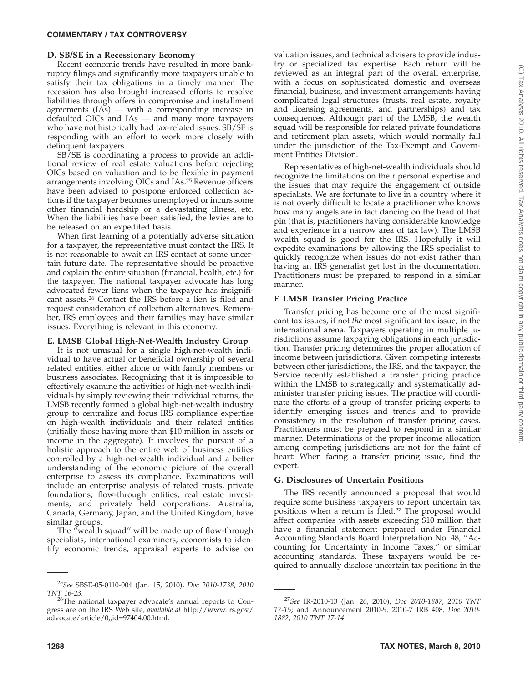## **COMMENTARY / TAX CONTROVERSY**

#### **D. SB/SE in a Recessionary Economy**

Recent economic trends have resulted in more bankruptcy filings and significantly more taxpayers unable to satisfy their tax obligations in a timely manner. The recession has also brought increased efforts to resolve liabilities through offers in compromise and installment agreements (IAs) — with a corresponding increase in defaulted OICs and IAs — and many more taxpayers who have not historically had tax-related issues. SB/SE is responding with an effort to work more closely with delinquent taxpayers.

SB/SE is coordinating a process to provide an additional review of real estate valuations before rejecting OICs based on valuation and to be flexible in payment arrangements involving OICs and IAs.25 Revenue officers have been advised to postpone enforced collection actions if the taxpayer becomes unemployed or incurs some other financial hardship or a devastating illness, etc. When the liabilities have been satisfied, the levies are to be released on an expedited basis.

When first learning of a potentially adverse situation for a taxpayer, the representative must contact the IRS. It is not reasonable to await an IRS contact at some uncertain future date. The representative should be proactive and explain the entire situation (financial, health, etc.) for the taxpayer. The national taxpayer advocate has long advocated fewer liens when the taxpayer has insignificant assets.26 Contact the IRS before a lien is filed and request consideration of collection alternatives. Remember, IRS employees and their families may have similar issues. Everything is relevant in this economy.

#### **E. LMSB Global High-Net-Wealth Industry Group**

It is not unusual for a single high-net-wealth individual to have actual or beneficial ownership of several related entities, either alone or with family members or business associates. Recognizing that it is impossible to effectively examine the activities of high-net-wealth individuals by simply reviewing their individual returns, the LMSB recently formed a global high-net-wealth industry group to centralize and focus IRS compliance expertise on high-wealth individuals and their related entities (initially those having more than \$10 million in assets or income in the aggregate). It involves the pursuit of a holistic approach to the entire web of business entities controlled by a high-net-wealth individual and a better understanding of the economic picture of the overall enterprise to assess its compliance. Examinations will include an enterprise analysis of related trusts, private foundations, flow-through entities, real estate investments, and privately held corporations. Australia, Canada, Germany, Japan, and the United Kingdom, have similar groups.

The "wealth squad" will be made up of flow-through specialists, international examiners, economists to identify economic trends, appraisal experts to advise on valuation issues, and technical advisers to provide industry or specialized tax expertise. Each return will be reviewed as an integral part of the overall enterprise, with a focus on sophisticated domestic and overseas financial, business, and investment arrangements having complicated legal structures (trusts, real estate, royalty and licensing agreements, and partnerships) and tax consequences. Although part of the LMSB, the wealth squad will be responsible for related private foundations and retirement plan assets, which would normally fall under the jurisdiction of the Tax-Exempt and Government Entities Division.

Representatives of high-net-wealth individuals should recognize the limitations on their personal expertise and the issues that may require the engagement of outside specialists. We are fortunate to live in a country where it is not overly difficult to locate a practitioner who knows how many angels are in fact dancing on the head of that pin (that is, practitioners having considerable knowledge and experience in a narrow area of tax law). The LMSB wealth squad is good for the IRS. Hopefully it will expedite examinations by allowing the IRS specialist to quickly recognize when issues do not exist rather than having an IRS generalist get lost in the documentation. Practitioners must be prepared to respond in a similar manner.

#### **F. LMSB Transfer Pricing Practice**

Transfer pricing has become one of the most significant tax issues, if not *the* most significant tax issue, in the international arena. Taxpayers operating in multiple jurisdictions assume taxpaying obligations in each jurisdiction. Transfer pricing determines the proper allocation of income between jurisdictions. Given competing interests between other jurisdictions, the IRS, and the taxpayer, the Service recently established a transfer pricing practice within the LMSB to strategically and systematically administer transfer pricing issues. The practice will coordinate the efforts of a group of transfer pricing experts to identify emerging issues and trends and to provide consistency in the resolution of transfer pricing cases. Practitioners must be prepared to respond in a similar manner. Determinations of the proper income allocation among competing jurisdictions are not for the faint of heart: When facing a transfer pricing issue, find the expert.

## **G. Disclosures of Uncertain Positions**

The IRS recently announced a proposal that would require some business taxpayers to report uncertain tax positions when a return is filed.27 The proposal would affect companies with assets exceeding \$10 million that have a financial statement prepared under Financial Accounting Standards Board Interpretation No. 48, ''Accounting for Uncertainty in Income Taxes,'' or similar accounting standards. These taxpayers would be required to annually disclose uncertain tax positions in the

<sup>25</sup>*See* SBSE-05-0110-004 (Jan. 15, 2010), *Doc 2010-1738*, *2010*

*TNT 16-23*.<br><sup>26</sup>The national taxpayer advocate's annual reports to Congress are on the IRS Web site, *available at* http://www.irs.gov/ advocate/article/0,,id=97404,00.html.

<sup>27</sup>*See* IR-2010-13 (Jan. 26, 2010), *Doc 2010-1887*, *2010 TNT 17-15*; and Announcement 2010-9, 2010-7 IRB 408, *Doc 2010- 1882*, *2010 TNT 17-14*.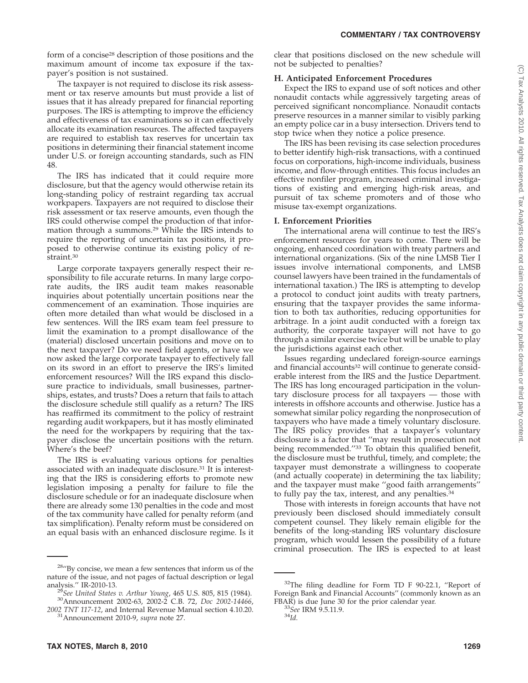form of a concise<sup>28</sup> description of those positions and the maximum amount of income tax exposure if the taxpayer's position is not sustained.

The taxpayer is not required to disclose its risk assessment or tax reserve amounts but must provide a list of issues that it has already prepared for financial reporting purposes. The IRS is attempting to improve the efficiency and effectiveness of tax examinations so it can effectively allocate its examination resources. The affected taxpayers are required to establish tax reserves for uncertain tax positions in determining their financial statement income under U.S. or foreign accounting standards, such as FIN 48.

The IRS has indicated that it could require more disclosure, but that the agency would otherwise retain its long-standing policy of restraint regarding tax accrual workpapers. Taxpayers are not required to disclose their risk assessment or tax reserve amounts, even though the IRS could otherwise compel the production of that information through a summons.29 While the IRS intends to require the reporting of uncertain tax positions, it proposed to otherwise continue its existing policy of restraint.30

Large corporate taxpayers generally respect their responsibility to file accurate returns. In many large corporate audits, the IRS audit team makes reasonable inquiries about potentially uncertain positions near the commencement of an examination. Those inquiries are often more detailed than what would be disclosed in a few sentences. Will the IRS exam team feel pressure to limit the examination to a prompt disallowance of the (material) disclosed uncertain positions and move on to the next taxpayer? Do we need field agents, or have we now asked the large corporate taxpayer to effectively fall on its sword in an effort to preserve the IRS's limited enforcement resources? Will the IRS expand this disclosure practice to individuals, small businesses, partnerships, estates, and trusts? Does a return that fails to attach the disclosure schedule still qualify as a return? The IRS has reaffirmed its commitment to the policy of restraint regarding audit workpapers, but it has mostly eliminated the need for the workpapers by requiring that the taxpayer disclose the uncertain positions with the return. Where's the beef?

The IRS is evaluating various options for penalties associated with an inadequate disclosure.31 It is interesting that the IRS is considering efforts to promote new legislation imposing a penalty for failure to file the disclosure schedule or for an inadequate disclosure when there are already some 130 penalties in the code and most of the tax community have called for penalty reform (and tax simplification). Penalty reform must be considered on an equal basis with an enhanced disclosure regime. Is it clear that positions disclosed on the new schedule will not be subjected to penalties?

# **H. Anticipated Enforcement Procedures**

Expect the IRS to expand use of soft notices and other nonaudit contacts while aggressively targeting areas of perceived significant noncompliance. Nonaudit contacts preserve resources in a manner similar to visibly parking an empty police car in a busy intersection. Drivers tend to stop twice when they notice a police presence.

The IRS has been revising its case selection procedures to better identify high-risk transactions, with a continued focus on corporations, high-income individuals, business income, and flow-through entities. This focus includes an effective nonfiler program, increased criminal investigations of existing and emerging high-risk areas, and pursuit of tax scheme promoters and of those who misuse tax-exempt organizations.

# **I. Enforcement Priorities**

The international arena will continue to test the IRS's enforcement resources for years to come. There will be ongoing, enhanced coordination with treaty partners and international organizations. (Six of the nine LMSB Tier I issues involve international components, and LMSB counsel lawyers have been trained in the fundamentals of international taxation.) The IRS is attempting to develop a protocol to conduct joint audits with treaty partners, ensuring that the taxpayer provides the same information to both tax authorities, reducing opportunities for arbitrage. In a joint audit conducted with a foreign tax authority, the corporate taxpayer will not have to go through a similar exercise twice but will be unable to play the jurisdictions against each other.

Issues regarding undeclared foreign-source earnings and financial accounts<sup>32</sup> will continue to generate considerable interest from the IRS and the Justice Department. The IRS has long encouraged participation in the voluntary disclosure process for all taxpayers — those with interests in offshore accounts and otherwise. Justice has a somewhat similar policy regarding the nonprosecution of taxpayers who have made a timely voluntary disclosure. The IRS policy provides that a taxpayer's voluntary disclosure is a factor that ''may result in prosecution not being recommended.''33 To obtain this qualified benefit, the disclosure must be truthful, timely, and complete; the taxpayer must demonstrate a willingness to cooperate (and actually cooperate) in determining the tax liability; and the taxpayer must make ''good faith arrangements'' to fully pay the tax, interest, and any penalties.<sup>34</sup>

Those with interests in foreign accounts that have not previously been disclosed should immediately consult competent counsel. They likely remain eligible for the benefits of the long-standing IRS voluntary disclosure program, which would lessen the possibility of a future criminal prosecution. The IRS is expected to at least

<sup>&</sup>lt;sup>28</sup>"By concise, we mean a few sentences that inform us of the nature of the issue, and not pages of factual description or legal

<sup>&</sup>lt;sup>29</sup>See United States v. Arthur Young, 465 U.S. 805, 815 (1984). <sup>30</sup>Announcement 2002-63, 2002-2 C.B. 72, *Doc 2002-14466*,

*<sup>2002</sup> TNT 117-12*, and Internal Revenue Manual section 4.10.20. 31Announcement 2010-9, *supra* note 27.

 $32$ The filing deadline for Form TD F 90-22.1, "Report of Foreign Bank and Financial Accounts'' (commonly known as an FBAR) is due June 30 for the prior calendar year. <sup>33</sup>*See* IRM 9.5.11.9. <sup>34</sup>*Id.*